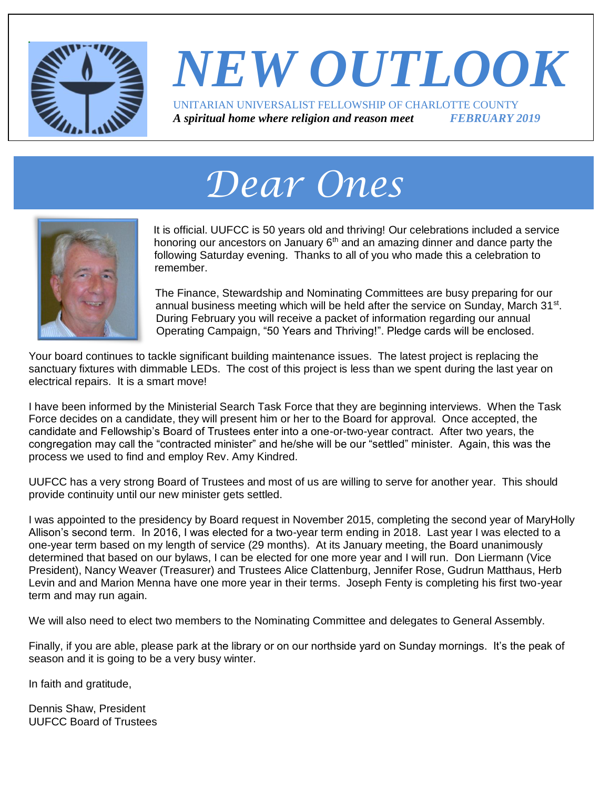

#### *NEW OUTLOOK* UNITARIAN UNIVERSALIST FELLOWSHIP OF CHARLOTTE COUNTY *A spiritual home where religion and reason meet FEBRUARY 2019*

# *Dear Ones*



It is official. UUFCC is 50 years old and thriving! Our celebrations included a service honoring our ancestors on January  $6<sup>th</sup>$  and an amazing dinner and dance party the following Saturday evening. Thanks to all of you who made this a celebration to remember.

The Finance, Stewardship and Nominating Committees are busy preparing for our annual business meeting which will be held after the service on Sunday, March 31<sup>st</sup>. During February you will receive a packet of information regarding our annual Operating Campaign, "50 Years and Thriving!". Pledge cards will be enclosed.

Your board continues to tackle significant building maintenance issues. The latest project is replacing the sanctuary fixtures with dimmable LEDs. The cost of this project is less than we spent during the last year on electrical repairs. It is a smart move!

I have been informed by the Ministerial Search Task Force that they are beginning interviews. When the Task Force decides on a candidate, they will present him or her to the Board for approval. Once accepted, the candidate and Fellowship's Board of Trustees enter into a one-or-two-year contract. After two years, the congregation may call the "contracted minister" and he/she will be our "settled" minister. Again, this was the process we used to find and employ Rev. Amy Kindred.

UUFCC has a very strong Board of Trustees and most of us are willing to serve for another year. This should provide continuity until our new minister gets settled.

I was appointed to the presidency by Board request in November 2015, completing the second year of MaryHolly Allison's second term. In 2016, I was elected for a two-year term ending in 2018. Last year I was elected to a one-year term based on my length of service (29 months). At its January meeting, the Board unanimously determined that based on our bylaws, I can be elected for one more year and I will run. Don Liermann (Vice President), Nancy Weaver (Treasurer) and Trustees Alice Clattenburg, Jennifer Rose, Gudrun Matthaus, Herb Levin and and Marion Menna have one more year in their terms. Joseph Fenty is completing his first two-year term and may run again.

We will also need to elect two members to the Nominating Committee and delegates to General Assembly.

Finally, if you are able, please park at the library or on our northside yard on Sunday mornings. It's the peak of season and it is going to be a very busy winter.

In faith and gratitude,

Dennis Shaw, President UUFCC Board of Trustees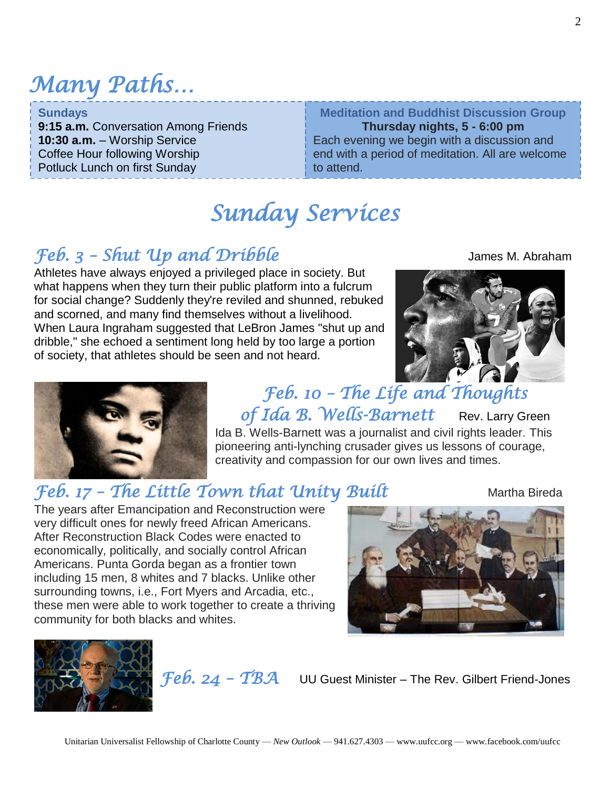### *Many Paths…*

| <b>Sundays</b>                       | <b>Meditation and Buddhist Discussion Group</b>  |
|--------------------------------------|--------------------------------------------------|
| 9:15 a.m. Conversation Among Friends | Thursday nights, 5 - 6:00 pm                     |
| <b>10:30 a.m.</b> - Worship Service  | Each evening we begin with a discussion and      |
| Coffee Hour following Worship        | end with a period of meditation. All are welcome |
| Potluck Lunch on first Sunday        | to attend.                                       |

#### *Sunday Services*

#### *Feb. 3 – Shut Up and Dribble* James M. Abraham

Athletes have always enjoyed a privileged place in society. But what happens when they turn their public platform into a fulcrum for social change? Suddenly they're reviled and shunned, rebuked and scorned, and many find themselves without a livelihood. When Laura Ingraham suggested that LeBron James "shut up and dribble," she echoed a sentiment long held by too large a portion of society, that athletes should be seen and not heard.





*Feb. 10 – The Life and Thoughts of Ida B. Wells-Barnett* Rev. Larry Green Ida B. Wells-Barnett was a journalist and civil rights leader. This pioneering anti-lynching crusader gives us lessons of courage,

creativity and compassion for our own lives and times.

#### *Feb. 17 – The Little Town that Unity Built* Martha Bireda

The years after Emancipation and Reconstruction were very difficult ones for newly freed African Americans. After Reconstruction Black Codes were enacted to economically, politically, and socially control African Americans. Punta Gorda began as a frontier town including 15 men, 8 whites and 7 blacks. Unlike other surrounding towns, i.e., Fort Myers and Arcadia, etc., these men were able to work together to create a thriving community for both blacks and whites.





*Feb. 24 – TBA* UU Guest Minister – The Rev. Gilbert Friend-Jones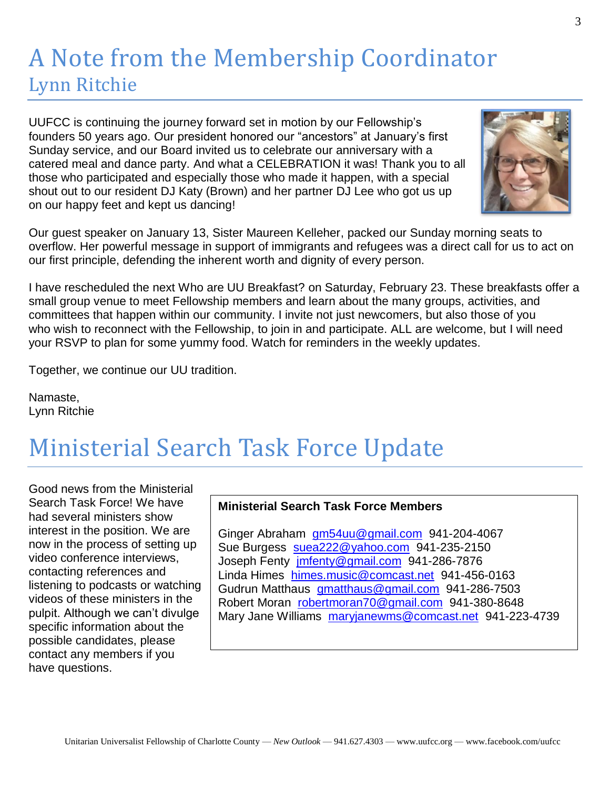#### A Note from the Membership Coordinator Lynn Ritchie

UUFCC is continuing the journey forward set in motion by our Fellowship's founders 50 years ago. Our president honored our "ancestors" at January's first Sunday service, and our Board invited us to celebrate our anniversary with a catered meal and dance party. And what a CELEBRATION it was! Thank you to all those who participated and especially those who made it happen, with a special shout out to our resident DJ Katy (Brown) and her partner DJ Lee who got us up on our happy feet and kept us dancing!



Our guest speaker on January 13, Sister Maureen Kelleher, packed our Sunday morning seats to overflow. Her powerful message in support of immigrants and refugees was a direct call for us to act on our first principle, defending the inherent worth and dignity of every person.

I have rescheduled the next Who are UU Breakfast? on Saturday, February 23. These breakfasts offer a small group venue to meet Fellowship members and learn about the many groups, activities, and committees that happen within our community. I invite not just newcomers, but also those of you who wish to reconnect with the Fellowship, to join in and participate. ALL are welcome, but I will need your RSVP to plan for some yummy food. Watch for reminders in the weekly updates.

Together, we continue our UU tradition.

Namaste, Lynn Ritchie

### Ministerial Search Task Force Update

Good news from the Ministerial Search Task Force! We have had several ministers show interest in the position. We are now in the process of setting up video conference interviews, contacting references and listening to podcasts or watching videos of these ministers in the pulpit. Although we can't divulge specific information about the possible candidates, please contact any members if you have questions.

#### **Ministerial Search Task Force Members**

Ginger Abraham [gm54uu@gmail.com](mailto:gm54uu@gmail.com) 941-204-4067 Sue Burgess [suea222@yahoo.com](mailto:suea222@yahoo.com) 941-235-2150 Joseph Fenty [jmfenty@gmail.com](mailto:jmfenty@gmail.com) 941-286-7876 Linda Himes [himes.music@comcast.net](mailto:himes.music@comcast.net) 941-456-0163 Gudrun Matthaus [gmatthaus@gmail.com](mailto:gmatthaus@gmail.com) 941-286-7503 Robert Moran [robertmoran70@gmail.com](mailto:robertmoran70@gmail.com) 941-380-8648 Mary Jane Williams [maryjanewms@comcast.net](mailto:maryjanewms@comcast.net) 941-223-4739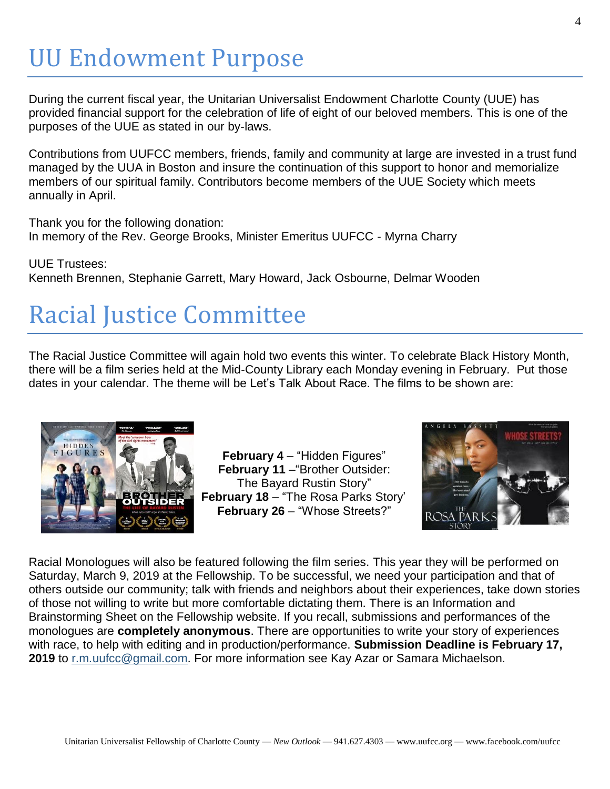### UU Endowment Purpose

During the current fiscal year, the Unitarian Universalist Endowment Charlotte County (UUE) has provided financial support for the celebration of life of eight of our beloved members. This is one of the purposes of the UUE as stated in our by-laws.

Contributions from UUFCC members, friends, family and community at large are invested in a trust fund managed by the UUA in Boston and insure the continuation of this support to honor and memorialize members of our spiritual family. Contributors become members of the UUE Society which meets annually in April.

Thank you for the following donation: In memory of the Rev. George Brooks, Minister Emeritus UUFCC - Myrna Charry

UUE Trustees: Kenneth Brennen, Stephanie Garrett, Mary Howard, Jack Osbourne, Delmar Wooden

## Racial Justice Committee

The Racial Justice Committee will again hold two events this winter. To celebrate Black History Month, there will be a film series held at the Mid-County Library each Monday evening in February. Put those dates in your calendar. The theme will be Let's Talk About Race. The films to be shown are:



**February 4** – "Hidden Figures" **February 11** –"Brother Outsider: The Bayard Rustin Story" February 18 - "The Rosa Parks Story" **February 26** – "Whose Streets?"



Racial Monologues will also be featured following the film series. This year they will be performed on Saturday, March 9, 2019 at the Fellowship. To be successful, we need your participation and that of others outside our community; talk with friends and neighbors about their experiences, take down stories of those not willing to write but more comfortable dictating them. There is an Information and Brainstorming Sheet on the Fellowship website. If you recall, submissions and performances of the monologues are **completely anonymous**. There are opportunities to write your story of experiences with race, to help with editing and in production/performance. **Submission Deadline is February 17, 2019** to [r.m.uufcc@gmail.com.](mailto:racialmonologues@gmail.com) For more information see Kay Azar or Samara Michaelson.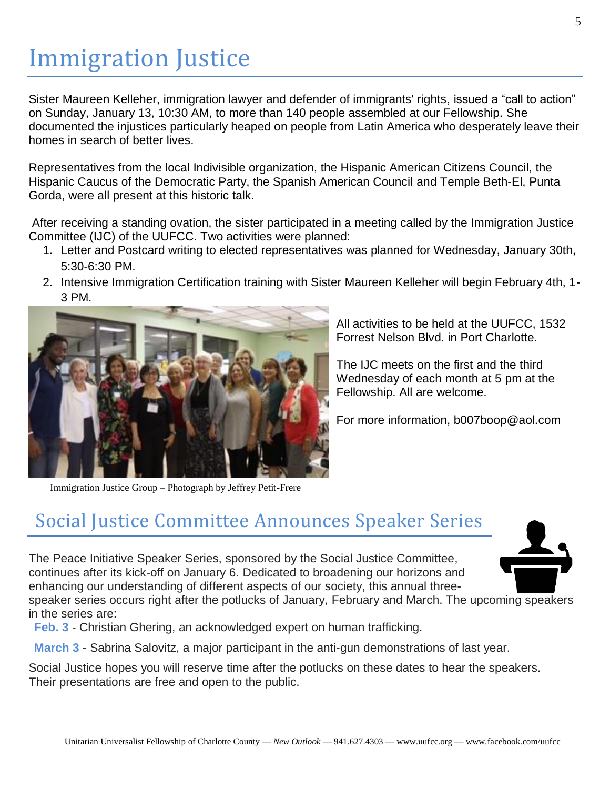### Immigration Justice

Sister Maureen Kelleher, immigration lawyer and defender of immigrants' rights, issued a "call to action" on Sunday, January 13, 10:30 AM, to more than 140 people assembled at our Fellowship. She documented the injustices particularly heaped on people from Latin America who desperately leave their homes in search of better lives.

Representatives from the local Indivisible organization, the Hispanic American Citizens Council, the Hispanic Caucus of the Democratic Party, the Spanish American Council and Temple Beth-El, Punta Gorda, were all present at this historic talk.

After receiving a standing ovation, the sister participated in a meeting called by the Immigration Justice Committee (IJC) of the UUFCC. Two activities were planned:

- 1. Letter and Postcard writing to elected representatives was planned for Wednesday, January 30th, 5:30-6:30 PM.
- 2. Intensive Immigration Certification training with Sister Maureen Kelleher will begin February 4th, 1- 3 PM.



All activities to be held at the UUFCC, 1532 Forrest Nelson Blvd. in Port Charlotte.

The IJC meets on the first and the third Wednesday of each month at 5 pm at the Fellowship. All are welcome.

For more information, b007boop@aol.com

Immigration Justice Group – Photograph by Jeffrey Petit-Frere

#### Social Justice Committee Announces Speaker Series

The Peace Initiative Speaker Series, sponsored by the Social Justice Committee, continues after its kick-off on January 6. Dedicated to broadening our horizons and enhancing our understanding of different aspects of our society, this annual three-



speaker series occurs right after the potlucks of January, February and March. The upcoming speakers in the series are:

**Feb. 3** - Christian Ghering, an acknowledged expert on human trafficking.

**March 3** - Sabrina Salovitz, a major participant in the anti-gun demonstrations of last year.

Social Justice hopes you will reserve time after the potlucks on these dates to hear the speakers. Their presentations are free and open to the public.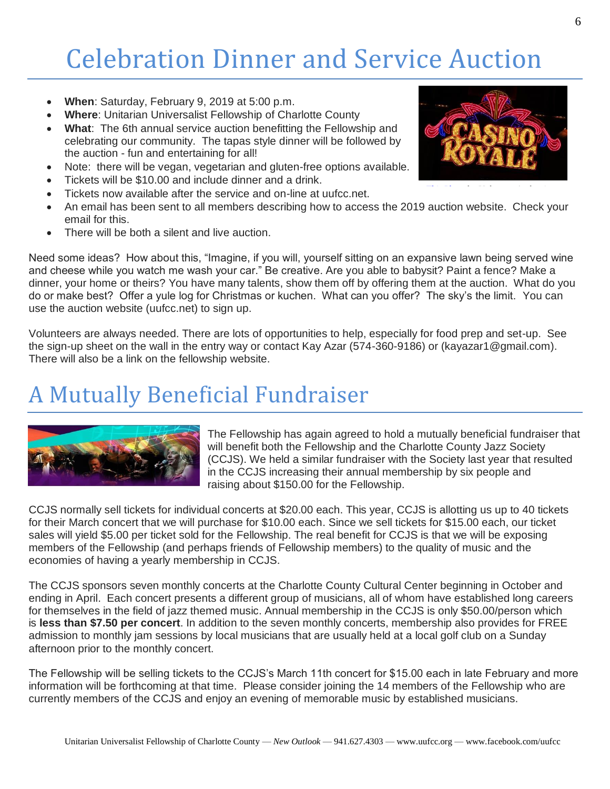## Celebration Dinner and Service Auction

- **When**: Saturday, February 9, 2019 at 5:00 p.m.
- **Where**: Unitarian Universalist Fellowship of Charlotte County
- **What**: The 6th annual service auction benefitting the Fellowship and celebrating our community. The tapas style dinner will be followed by the auction - fun and entertaining for all!
- Note: there will be vegan, vegetarian and gluten-free options available.
- Tickets will be \$10.00 and include dinner and a drink.
- Tickets now available after the service and on-line at uufcc.net.
- An email has been sent to all members describing how to access the 2019 auction w[ebsite.](https://creativecommons.org/licenses/by/3.0/) Check your email for this.
- There will be both a silent and live auction.

Need some ideas? How about this, "Imagine, if you will, yourself sitting on an expansive lawn being served wine and cheese while you watch me wash your car." Be creative. Are you able to babysit? Paint a fence? Make a dinner, your home or theirs? You have many talents, show them off by offering them at the auction. What do you do or make best? Offer a yule log for Christmas or kuchen. What can you offer? The sky's the limit. You can use the auction website (uufcc.net) to sign up.

Volunteers are always needed. There are lots of opportunities to help, especially for food prep and set-up. See the sign-up sheet on the wall in the entry way or contact Kay Azar (574-360-9186) or [\(kayazar1@gmail.com\)](mailto:kayazar1@gmail.com). There will also be a link on the fellowship website.

#### A Mutually Beneficial Fundraiser



The Fellowship has again agreed to hold a mutually beneficial fundraiser that will benefit both the Fellowship and the Charlotte County Jazz Society (CCJS). We held a similar fundraiser with the Society last year that resulted in the CCJS increasing their annual membership by six people and raising about \$150.00 for the Fellowship.

CCJS normally sell tickets for individual concerts at \$20.00 each. This year, CCJS is allotting us up to 40 tickets for their March concert that we will purchase for \$10.00 each. Since we sell tickets for \$15.00 each, our ticket sales will yield \$5.00 per ticket sold for the Fellowship. The real benefit for CCJS is that we will be exposing members of the Fellowship (and perhaps friends of Fellowship members) to the quality of music and the economies of having a yearly membership in CCJS.

The CCJS sponsors seven monthly concerts at the Charlotte County Cultural Center beginning in October and ending in April. Each concert presents a different group of musicians, all of whom have established long careers for themselves in the field of jazz themed music. Annual membership in the CCJS is only \$50.00/person which is **less than \$7.50 per concert**. In addition to the seven monthly concerts, membership also provides for FREE admission to monthly jam sessions by local musicians that are usually held at a local golf club on a Sunday afternoon prior to the monthly concert.

The Fellowship will be selling tickets to the CCJS's March 11th concert for \$15.00 each in late February and more information will be forthcoming at that time. Please consider joining the 14 members of the Fellowship who are currently members of the CCJS and enjoy an evening of memorable music by established musicians.

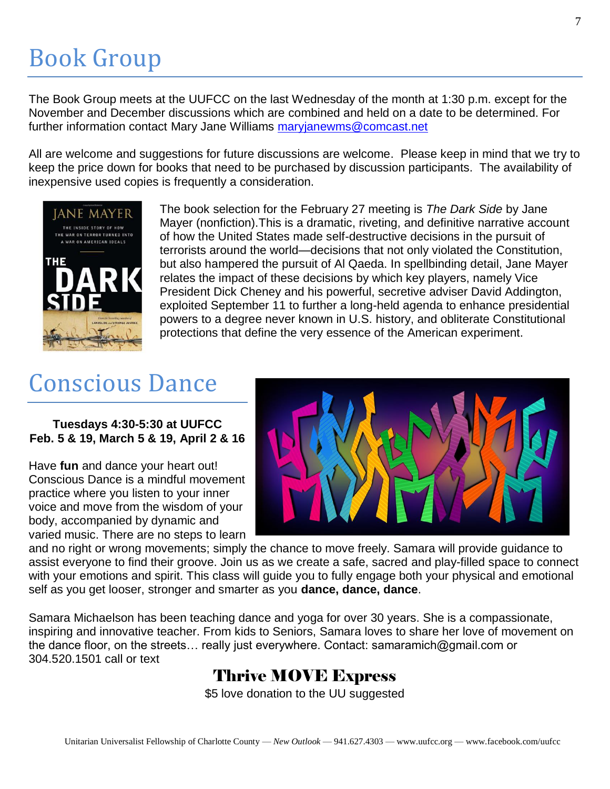### Book Group

The Book Group meets at the UUFCC on the last Wednesday of the month at 1:30 p.m. except for the November and December discussions which are combined and held on a date to be determined. For further information contact Mary Jane Williams [maryjanewms@comcast.net](mailto:maryjanewms@comcast.net)

All are welcome and suggestions for future discussions are welcome. Please keep in mind that we try to keep the price down for books that need to be purchased by discussion participants. The availability of inexpensive used copies is frequently a consideration.



The book selection for the February 27 meeting is *The Dark Side* by Jane Mayer (nonfiction).This is a dramatic, riveting, and definitive narrative account of how the United States made self-destructive decisions in the pursuit of terrorists around the world—decisions that not only violated the Constitution, but also hampered the pursuit of Al Qaeda. In spellbinding detail, Jane Mayer relates the impact of these decisions by which key players, namely Vice President Dick Cheney and his powerful, secretive adviser David Addington, exploited September 11 to further a long-held agenda to enhance presidential powers to a degree never known in U.S. history, and obliterate Constitutional protections that define the very essence of the American experiment.

### Conscious Dance

#### **Tuesdays 4:30-5:30 at UUFCC Feb. 5 & 19, March 5 & 19, April 2 & 16**

Have **fun** and dance your heart out! Conscious Dance is a mindful movement practice where you listen to your inner voice and move from the wisdom of your body, accompanied by dynamic and varied music. There are no steps to learn



and no right or wrong movements; simply the chance to move freely. Samara will provide guidance to assist everyone to find their groove. Join us as we create a safe, sacred and play-filled space to connect with your emotions and spirit. This class will guide you to fully engage both your physical and emotional self as you get looser, stronger and smarter as you **dance, dance, dance**.

Samara Michaelson has been teaching dance and yoga for over 30 years. She is a compassionate, inspiring and innovative teacher. From kids to Seniors, Samara loves to share her love of movement on the dance floor, on the streets… really just everywhere. Contact: samaramich@gmail.com or 304.520.1501 call or text

#### Thrive MOVE Express

\$5 love donation to the UU suggested